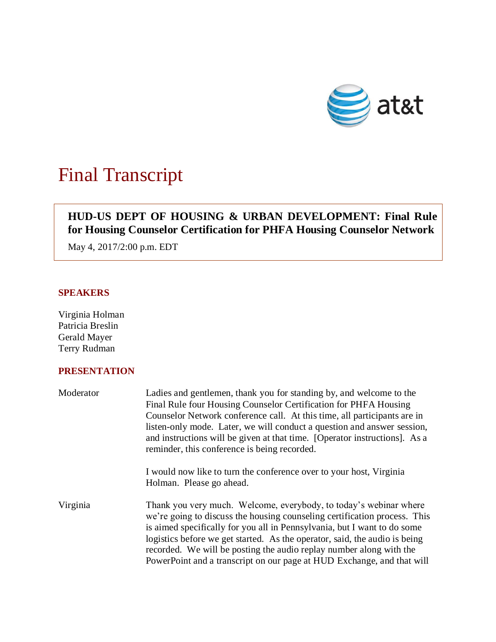

# Final Transcript

## **HUD-US DEPT OF HOUSING & URBAN DEVELOPMENT: Final Rule for Housing Counselor Certification for PHFA Housing Counselor Network**

May 4, 2017/2:00 p.m. EDT

## **SPEAKERS**

Virginia Holman Patricia Breslin Gerald Mayer Terry Rudman

## **PRESENTATION**

| Moderator | Ladies and gentlemen, thank you for standing by, and welcome to the<br>Final Rule four Housing Counselor Certification for PHFA Housing<br>Counselor Network conference call. At this time, all participants are in<br>listen-only mode. Later, we will conduct a question and answer session,<br>and instructions will be given at that time. [Operator instructions]. As a<br>reminder, this conference is being recorded.                              |
|-----------|-----------------------------------------------------------------------------------------------------------------------------------------------------------------------------------------------------------------------------------------------------------------------------------------------------------------------------------------------------------------------------------------------------------------------------------------------------------|
|           | I would now like to turn the conference over to your host, Virginia<br>Holman. Please go ahead.                                                                                                                                                                                                                                                                                                                                                           |
| Virginia  | Thank you very much. Welcome, everybody, to today's webinar where<br>we're going to discuss the housing counseling certification process. This<br>is aimed specifically for you all in Pennsylvania, but I want to do some<br>logistics before we get started. As the operator, said, the audio is being<br>recorded. We will be posting the audio replay number along with the<br>PowerPoint and a transcript on our page at HUD Exchange, and that will |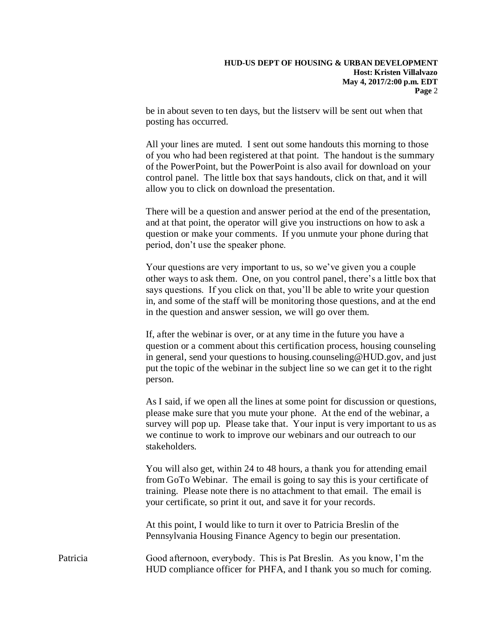be in about seven to ten days, but the listserv will be sent out when that posting has occurred.

All your lines are muted. I sent out some handouts this morning to those of you who had been registered at that point. The handout is the summary of the PowerPoint, but the PowerPoint is also avail for download on your control panel. The little box that says handouts, click on that, and it will allow you to click on download the presentation.

There will be a question and answer period at the end of the presentation, and at that point, the operator will give you instructions on how to ask a question or make your comments. If you unmute your phone during that period, don't use the speaker phone.

Your questions are very important to us, so we've given you a couple other ways to ask them. One, on you control panel, there's a little box that says questions. If you click on that, you'll be able to write your question in, and some of the staff will be monitoring those questions, and at the end in the question and answer session, we will go over them.

If, after the webinar is over, or at any time in the future you have a question or a comment about this certification process, housing counseling in general, send your questions to housing.counseling@HUD.gov, and just put the topic of the webinar in the subject line so we can get it to the right person.

As I said, if we open all the lines at some point for discussion or questions, please make sure that you mute your phone. At the end of the webinar, a survey will pop up. Please take that. Your input is very important to us as we continue to work to improve our webinars and our outreach to our stakeholders.

You will also get, within 24 to 48 hours, a thank you for attending email from GoTo Webinar. The email is going to say this is your certificate of training. Please note there is no attachment to that email. The email is your certificate, so print it out, and save it for your records.

At this point, I would like to turn it over to Patricia Breslin of the Pennsylvania Housing Finance Agency to begin our presentation.

Patricia Good afternoon, everybody. This is Pat Breslin. As you know, I'm the HUD compliance officer for PHFA, and I thank you so much for coming.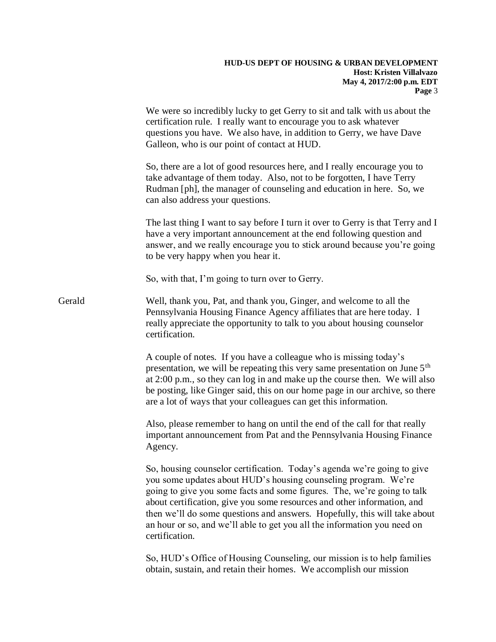|        | We were so incredibly lucky to get Gerry to sit and talk with us about the<br>certification rule. I really want to encourage you to ask whatever<br>questions you have. We also have, in addition to Gerry, we have Dave<br>Galleon, who is our point of contact at HUD.                                                                                                                                                                                                   |
|--------|----------------------------------------------------------------------------------------------------------------------------------------------------------------------------------------------------------------------------------------------------------------------------------------------------------------------------------------------------------------------------------------------------------------------------------------------------------------------------|
|        | So, there are a lot of good resources here, and I really encourage you to<br>take advantage of them today. Also, not to be forgotten, I have Terry<br>Rudman [ph], the manager of counseling and education in here. So, we<br>can also address your questions.                                                                                                                                                                                                             |
|        | The last thing I want to say before I turn it over to Gerry is that Terry and I<br>have a very important announcement at the end following question and<br>answer, and we really encourage you to stick around because you're going<br>to be very happy when you hear it.                                                                                                                                                                                                  |
|        | So, with that, I'm going to turn over to Gerry.                                                                                                                                                                                                                                                                                                                                                                                                                            |
| Gerald | Well, thank you, Pat, and thank you, Ginger, and welcome to all the<br>Pennsylvania Housing Finance Agency affiliates that are here today. I<br>really appreciate the opportunity to talk to you about housing counselor<br>certification.                                                                                                                                                                                                                                 |
|        | A couple of notes. If you have a colleague who is missing today's<br>presentation, we will be repeating this very same presentation on June 5 <sup>th</sup><br>at 2:00 p.m., so they can log in and make up the course then. We will also<br>be posting, like Ginger said, this on our home page in our archive, so there<br>are a lot of ways that your colleagues can get this information.                                                                              |
|        | Also, please remember to hang on until the end of the call for that really<br>important announcement from Pat and the Pennsylvania Housing Finance<br>Agency.                                                                                                                                                                                                                                                                                                              |
|        | So, housing counselor certification. Today's agenda we're going to give<br>you some updates about HUD's housing counseling program. We're<br>going to give you some facts and some figures. The, we're going to talk<br>about certification, give you some resources and other information, and<br>then we'll do some questions and answers. Hopefully, this will take about<br>an hour or so, and we'll able to get you all the information you need on<br>certification. |
|        | So, HUD's Office of Housing Counseling, our mission is to help families<br>obtain, sustain, and retain their homes. We accomplish our mission                                                                                                                                                                                                                                                                                                                              |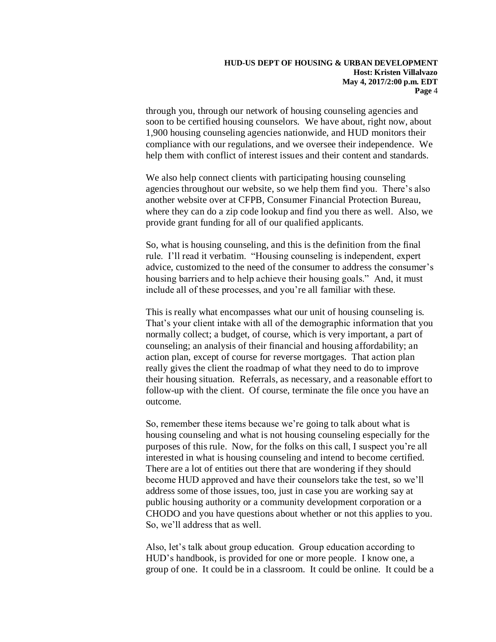through you, through our network of housing counseling agencies and soon to be certified housing counselors. We have about, right now, about 1,900 housing counseling agencies nationwide, and HUD monitors their compliance with our regulations, and we oversee their independence. We help them with conflict of interest issues and their content and standards.

We also help connect clients with participating housing counseling agencies throughout our website, so we help them find you. There's also another website over at CFPB, Consumer Financial Protection Bureau, where they can do a zip code lookup and find you there as well. Also, we provide grant funding for all of our qualified applicants.

So, what is housing counseling, and this is the definition from the final rule. I'll read it verbatim. "Housing counseling is independent, expert advice, customized to the need of the consumer to address the consumer's housing barriers and to help achieve their housing goals." And, it must include all of these processes, and you're all familiar with these.

This is really what encompasses what our unit of housing counseling is. That's your client intake with all of the demographic information that you normally collect; a budget, of course, which is very important, a part of counseling; an analysis of their financial and housing affordability; an action plan, except of course for reverse mortgages. That action plan really gives the client the roadmap of what they need to do to improve their housing situation. Referrals, as necessary, and a reasonable effort to follow-up with the client. Of course, terminate the file once you have an outcome.

So, remember these items because we're going to talk about what is housing counseling and what is not housing counseling especially for the purposes of this rule. Now, for the folks on this call, I suspect you're all interested in what is housing counseling and intend to become certified. There are a lot of entities out there that are wondering if they should become HUD approved and have their counselors take the test, so we'll address some of those issues, too, just in case you are working say at public housing authority or a community development corporation or a CHODO and you have questions about whether or not this applies to you. So, we'll address that as well.

Also, let's talk about group education. Group education according to HUD's handbook, is provided for one or more people. I know one, a group of one. It could be in a classroom. It could be online. It could be a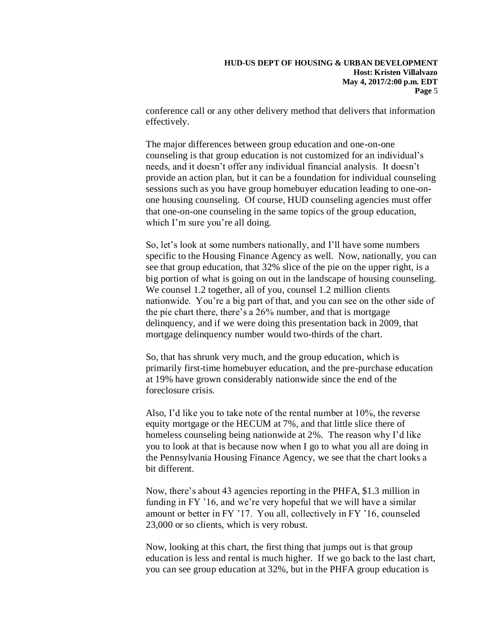conference call or any other delivery method that delivers that information effectively.

The major differences between group education and one-on-one counseling is that group education is not customized for an individual's needs, and it doesn't offer any individual financial analysis. It doesn't provide an action plan, but it can be a foundation for individual counseling sessions such as you have group homebuyer education leading to one-onone housing counseling. Of course, HUD counseling agencies must offer that one-on-one counseling in the same topics of the group education, which I'm sure you're all doing.

So, let's look at some numbers nationally, and I'll have some numbers specific to the Housing Finance Agency as well. Now, nationally, you can see that group education, that 32% slice of the pie on the upper right, is a big portion of what is going on out in the landscape of housing counseling. We counsel 1.2 together, all of you, counsel 1.2 million clients nationwide. You're a big part of that, and you can see on the other side of the pie chart there, there's a 26% number, and that is mortgage delinquency, and if we were doing this presentation back in 2009, that mortgage delinquency number would two-thirds of the chart.

So, that has shrunk very much, and the group education, which is primarily first-time homebuyer education, and the pre-purchase education at 19% have grown considerably nationwide since the end of the foreclosure crisis.

Also, I'd like you to take note of the rental number at 10%, the reverse equity mortgage or the HECUM at 7%, and that little slice there of homeless counseling being nationwide at 2%. The reason why I'd like you to look at that is because now when I go to what you all are doing in the Pennsylvania Housing Finance Agency, we see that the chart looks a bit different.

Now, there's about 43 agencies reporting in the PHFA, \$1.3 million in funding in FY '16, and we're very hopeful that we will have a similar amount or better in FY '17. You all, collectively in FY '16, counseled 23,000 or so clients, which is very robust.

Now, looking at this chart, the first thing that jumps out is that group education is less and rental is much higher. If we go back to the last chart, you can see group education at 32%, but in the PHFA group education is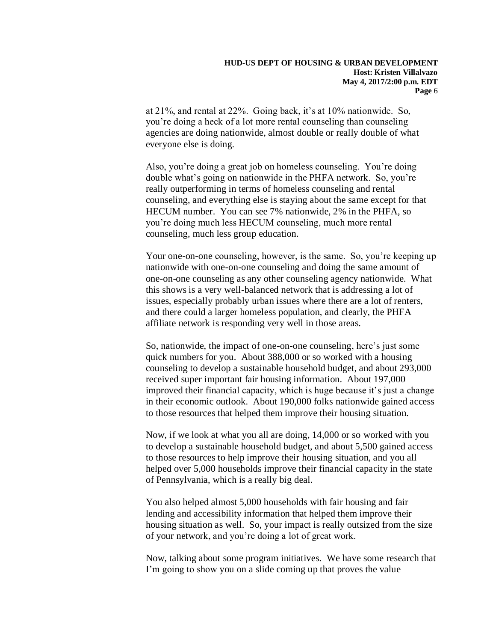at 21%, and rental at 22%. Going back, it's at 10% nationwide. So, you're doing a heck of a lot more rental counseling than counseling agencies are doing nationwide, almost double or really double of what everyone else is doing.

Also, you're doing a great job on homeless counseling. You're doing double what's going on nationwide in the PHFA network. So, you're really outperforming in terms of homeless counseling and rental counseling, and everything else is staying about the same except for that HECUM number. You can see 7% nationwide, 2% in the PHFA, so you're doing much less HECUM counseling, much more rental counseling, much less group education.

Your one-on-one counseling, however, is the same. So, you're keeping up nationwide with one-on-one counseling and doing the same amount of one-on-one counseling as any other counseling agency nationwide. What this shows is a very well-balanced network that is addressing a lot of issues, especially probably urban issues where there are a lot of renters, and there could a larger homeless population, and clearly, the PHFA affiliate network is responding very well in those areas.

So, nationwide, the impact of one-on-one counseling, here's just some quick numbers for you. About 388,000 or so worked with a housing counseling to develop a sustainable household budget, and about 293,000 received super important fair housing information. About 197,000 improved their financial capacity, which is huge because it's just a change in their economic outlook. About 190,000 folks nationwide gained access to those resources that helped them improve their housing situation.

Now, if we look at what you all are doing, 14,000 or so worked with you to develop a sustainable household budget, and about 5,500 gained access to those resources to help improve their housing situation, and you all helped over 5,000 households improve their financial capacity in the state of Pennsylvania, which is a really big deal.

You also helped almost 5,000 households with fair housing and fair lending and accessibility information that helped them improve their housing situation as well. So, your impact is really outsized from the size of your network, and you're doing a lot of great work.

Now, talking about some program initiatives. We have some research that I'm going to show you on a slide coming up that proves the value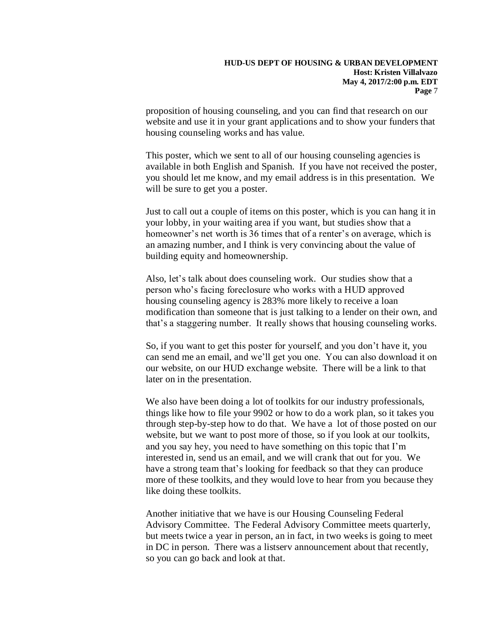proposition of housing counseling, and you can find that research on our website and use it in your grant applications and to show your funders that housing counseling works and has value.

This poster, which we sent to all of our housing counseling agencies is available in both English and Spanish. If you have not received the poster, you should let me know, and my email address is in this presentation. We will be sure to get you a poster.

Just to call out a couple of items on this poster, which is you can hang it in your lobby, in your waiting area if you want, but studies show that a homeowner's net worth is 36 times that of a renter's on average, which is an amazing number, and I think is very convincing about the value of building equity and homeownership.

Also, let's talk about does counseling work. Our studies show that a person who's facing foreclosure who works with a HUD approved housing counseling agency is 283% more likely to receive a loan modification than someone that is just talking to a lender on their own, and that's a staggering number. It really shows that housing counseling works.

So, if you want to get this poster for yourself, and you don't have it, you can send me an email, and we'll get you one. You can also download it on our website, on our HUD exchange website. There will be a link to that later on in the presentation.

We also have been doing a lot of toolkits for our industry professionals, things like how to file your 9902 or how to do a work plan, so it takes you through step-by-step how to do that. We have a lot of those posted on our website, but we want to post more of those, so if you look at our toolkits, and you say hey, you need to have something on this topic that I'm interested in, send us an email, and we will crank that out for you. We have a strong team that's looking for feedback so that they can produce more of these toolkits, and they would love to hear from you because they like doing these toolkits.

Another initiative that we have is our Housing Counseling Federal Advisory Committee. The Federal Advisory Committee meets quarterly, but meets twice a year in person, an in fact, in two weeks is going to meet in DC in person. There was a listserv announcement about that recently, so you can go back and look at that.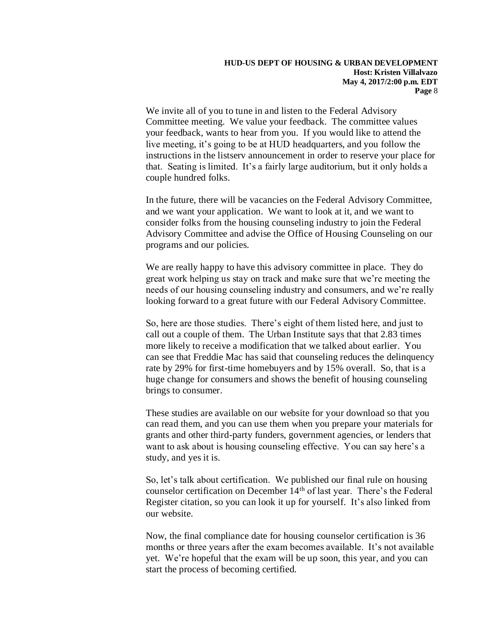We invite all of you to tune in and listen to the Federal Advisory Committee meeting. We value your feedback. The committee values your feedback, wants to hear from you. If you would like to attend the live meeting, it's going to be at HUD headquarters, and you follow the instructions in the listserv announcement in order to reserve your place for that. Seating is limited. It's a fairly large auditorium, but it only holds a couple hundred folks.

In the future, there will be vacancies on the Federal Advisory Committee, and we want your application. We want to look at it, and we want to consider folks from the housing counseling industry to join the Federal Advisory Committee and advise the Office of Housing Counseling on our programs and our policies.

We are really happy to have this advisory committee in place. They do great work helping us stay on track and make sure that we're meeting the needs of our housing counseling industry and consumers, and we're really looking forward to a great future with our Federal Advisory Committee.

So, here are those studies. There's eight of them listed here, and just to call out a couple of them. The Urban Institute says that that 2.83 times more likely to receive a modification that we talked about earlier. You can see that Freddie Mac has said that counseling reduces the delinquency rate by 29% for first-time homebuyers and by 15% overall. So, that is a huge change for consumers and shows the benefit of housing counseling brings to consumer.

These studies are available on our website for your download so that you can read them, and you can use them when you prepare your materials for grants and other third-party funders, government agencies, or lenders that want to ask about is housing counseling effective. You can say here's a study, and yes it is.

So, let's talk about certification. We published our final rule on housing counselor certification on December 14<sup>th</sup> of last year. There's the Federal Register citation, so you can look it up for yourself. It's also linked from our website.

Now, the final compliance date for housing counselor certification is 36 months or three years after the exam becomes available. It's not available yet. We're hopeful that the exam will be up soon, this year, and you can start the process of becoming certified.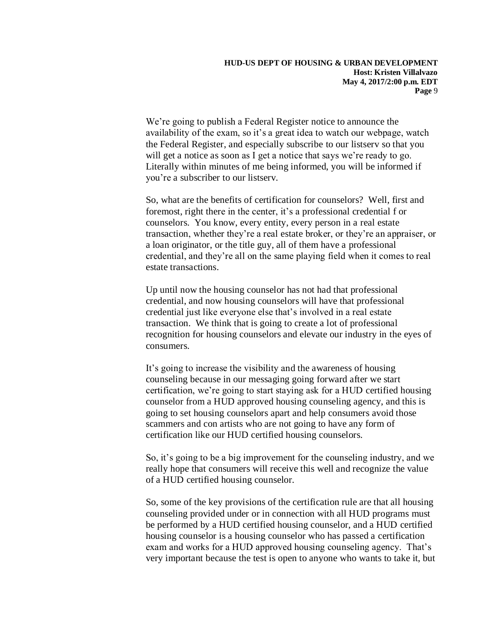We're going to publish a Federal Register notice to announce the availability of the exam, so it's a great idea to watch our webpage, watch the Federal Register, and especially subscribe to our listserv so that you will get a notice as soon as I get a notice that says we're ready to go. Literally within minutes of me being informed, you will be informed if you're a subscriber to our listserv.

So, what are the benefits of certification for counselors? Well, first and foremost, right there in the center, it's a professional credential f or counselors. You know, every entity, every person in a real estate transaction, whether they're a real estate broker, or they're an appraiser, or a loan originator, or the title guy, all of them have a professional credential, and they're all on the same playing field when it comes to real estate transactions.

Up until now the housing counselor has not had that professional credential, and now housing counselors will have that professional credential just like everyone else that's involved in a real estate transaction. We think that is going to create a lot of professional recognition for housing counselors and elevate our industry in the eyes of consumers.

It's going to increase the visibility and the awareness of housing counseling because in our messaging going forward after we start certification, we're going to start staying ask for a HUD certified housing counselor from a HUD approved housing counseling agency, and this is going to set housing counselors apart and help consumers avoid those scammers and con artists who are not going to have any form of certification like our HUD certified housing counselors.

So, it's going to be a big improvement for the counseling industry, and we really hope that consumers will receive this well and recognize the value of a HUD certified housing counselor.

So, some of the key provisions of the certification rule are that all housing counseling provided under or in connection with all HUD programs must be performed by a HUD certified housing counselor, and a HUD certified housing counselor is a housing counselor who has passed a certification exam and works for a HUD approved housing counseling agency. That's very important because the test is open to anyone who wants to take it, but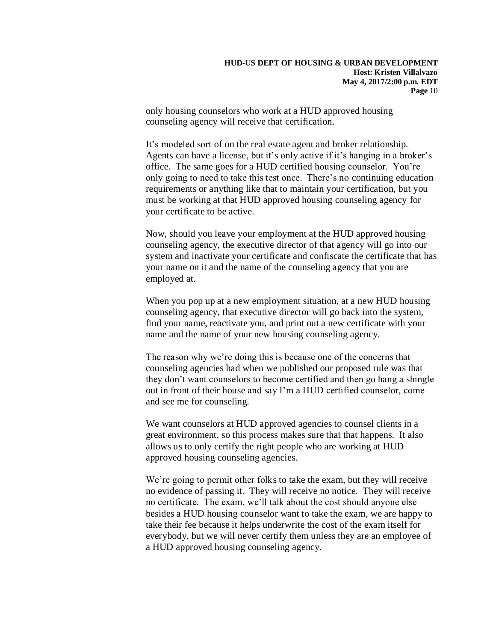only housing counselors who work at a HUD approved housing counseling agency will receive that certification.

It's modeled sort of on the real estate agent and broker relationship. Agents can have a license, but it's only active if it's hanging in a broker's office. The same goes for a HUD certified housing counselor. You're only going to need to take this test once. There's no continuing education requirements or anything like that to maintain your certification, but you must be working at that HUD approved housing counseling agency for your certificate to be active.

Now, should you leave your employment at the HUD approved housing counseling agency, the executive director of that agency will go into our system and inactivate your certificate and confiscate the certificate that has your name on it and the name of the counseling agency that you are employed at.

When you pop up at a new employment situation, at a new HUD housing counseling agency, that executive director will go back into the system, find your name, reactivate you, and print out a new certificate with your name and the name of your new housing counseling agency.

The reason why we're doing this is because one of the concerns that counseling agencies had when we published our proposed rule was that they don't want counselors to become certified and then go hang a shingle out in front of their house and say I'm a HUD certified counselor, come and see me for counseling.

We want counselors at HUD approved agencies to counsel clients in a great environment, so this process makes sure that that happens. It also allows us to only certify the right people who are working at HUD approved housing counseling agencies.

We're going to permit other folks to take the exam, but they will receive no evidence of passing it. They will receive no notice. They will receive no certificate. The exam, we'll talk about the cost should anyone else besides a HUD housing counselor want to take the exam, we are happy to take their fee because it helps underwrite the cost of the exam itself for everybody, but we will never certify them unless they are an employee of a HUD approved housing counseling agency.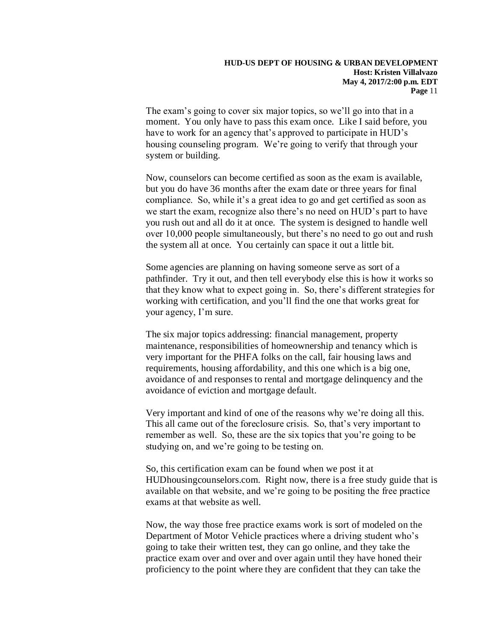The exam's going to cover six major topics, so we'll go into that in a moment. You only have to pass this exam once. Like I said before, you have to work for an agency that's approved to participate in HUD's housing counseling program. We're going to verify that through your system or building.

Now, counselors can become certified as soon as the exam is available, but you do have 36 months after the exam date or three years for final compliance. So, while it's a great idea to go and get certified as soon as we start the exam, recognize also there's no need on HUD's part to have you rush out and all do it at once. The system is designed to handle well over 10,000 people simultaneously, but there's no need to go out and rush the system all at once. You certainly can space it out a little bit.

Some agencies are planning on having someone serve as sort of a pathfinder. Try it out, and then tell everybody else this is how it works so that they know what to expect going in. So, there's different strategies for working with certification, and you'll find the one that works great for your agency, I'm sure.

The six major topics addressing: financial management, property maintenance, responsibilities of homeownership and tenancy which is very important for the PHFA folks on the call, fair housing laws and requirements, housing affordability, and this one which is a big one, avoidance of and responses to rental and mortgage delinquency and the avoidance of eviction and mortgage default.

Very important and kind of one of the reasons why we're doing all this. This all came out of the foreclosure crisis. So, that's very important to remember as well. So, these are the six topics that you're going to be studying on, and we're going to be testing on.

So, this certification exam can be found when we post it at HUDhousingcounselors.com. Right now, there is a free study guide that is available on that website, and we're going to be positing the free practice exams at that website as well.

Now, the way those free practice exams work is sort of modeled on the Department of Motor Vehicle practices where a driving student who's going to take their written test, they can go online, and they take the practice exam over and over and over again until they have honed their proficiency to the point where they are confident that they can take the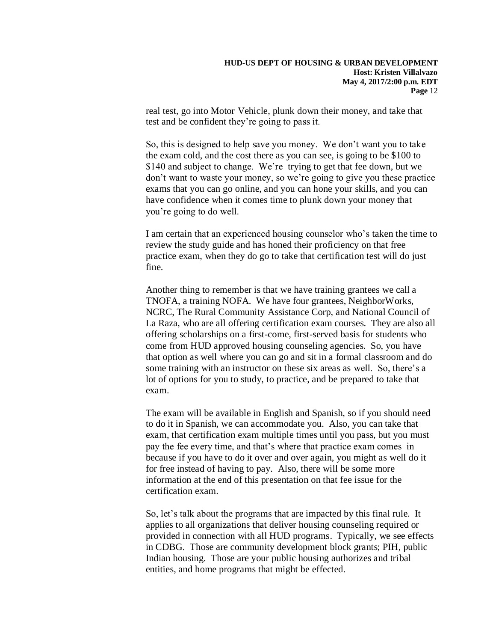real test, go into Motor Vehicle, plunk down their money, and take that test and be confident they're going to pass it.

So, this is designed to help save you money. We don't want you to take the exam cold, and the cost there as you can see, is going to be \$100 to \$140 and subject to change. We're trying to get that fee down, but we don't want to waste your money, so we're going to give you these practice exams that you can go online, and you can hone your skills, and you can have confidence when it comes time to plunk down your money that you're going to do well.

I am certain that an experienced housing counselor who's taken the time to review the study guide and has honed their proficiency on that free practice exam, when they do go to take that certification test will do just fine.

Another thing to remember is that we have training grantees we call a TNOFA, a training NOFA. We have four grantees, NeighborWorks, NCRC, The Rural Community Assistance Corp, and National Council of La Raza, who are all offering certification exam courses. They are also all offering scholarships on a first-come, first-served basis for students who come from HUD approved housing counseling agencies. So, you have that option as well where you can go and sit in a formal classroom and do some training with an instructor on these six areas as well. So, there's a lot of options for you to study, to practice, and be prepared to take that exam.

The exam will be available in English and Spanish, so if you should need to do it in Spanish, we can accommodate you. Also, you can take that exam, that certification exam multiple times until you pass, but you must pay the fee every time, and that's where that practice exam comes in because if you have to do it over and over again, you might as well do it for free instead of having to pay. Also, there will be some more information at the end of this presentation on that fee issue for the certification exam.

So, let's talk about the programs that are impacted by this final rule. It applies to all organizations that deliver housing counseling required or provided in connection with all HUD programs. Typically, we see effects in CDBG. Those are community development block grants; PIH, public Indian housing. Those are your public housing authorizes and tribal entities, and home programs that might be effected.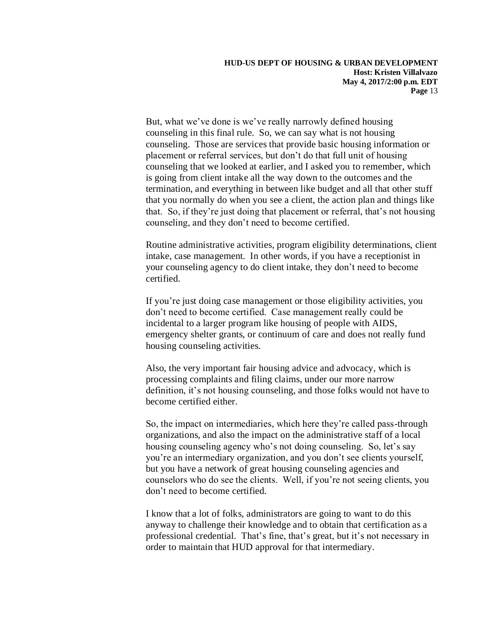But, what we've done is we've really narrowly defined housing counseling in this final rule. So, we can say what is not housing counseling. Those are services that provide basic housing information or placement or referral services, but don't do that full unit of housing counseling that we looked at earlier, and I asked you to remember, which is going from client intake all the way down to the outcomes and the termination, and everything in between like budget and all that other stuff that you normally do when you see a client, the action plan and things like that. So, if they're just doing that placement or referral, that's not housing counseling, and they don't need to become certified.

Routine administrative activities, program eligibility determinations, client intake, case management. In other words, if you have a receptionist in your counseling agency to do client intake, they don't need to become certified.

If you're just doing case management or those eligibility activities, you don't need to become certified. Case management really could be incidental to a larger program like housing of people with AIDS, emergency shelter grants, or continuum of care and does not really fund housing counseling activities.

Also, the very important fair housing advice and advocacy, which is processing complaints and filing claims, under our more narrow definition, it's not housing counseling, and those folks would not have to become certified either.

So, the impact on intermediaries, which here they're called pass-through organizations, and also the impact on the administrative staff of a local housing counseling agency who's not doing counseling. So, let's say you're an intermediary organization, and you don't see clients yourself, but you have a network of great housing counseling agencies and counselors who do see the clients. Well, if you're not seeing clients, you don't need to become certified.

I know that a lot of folks, administrators are going to want to do this anyway to challenge their knowledge and to obtain that certification as a professional credential. That's fine, that's great, but it's not necessary in order to maintain that HUD approval for that intermediary.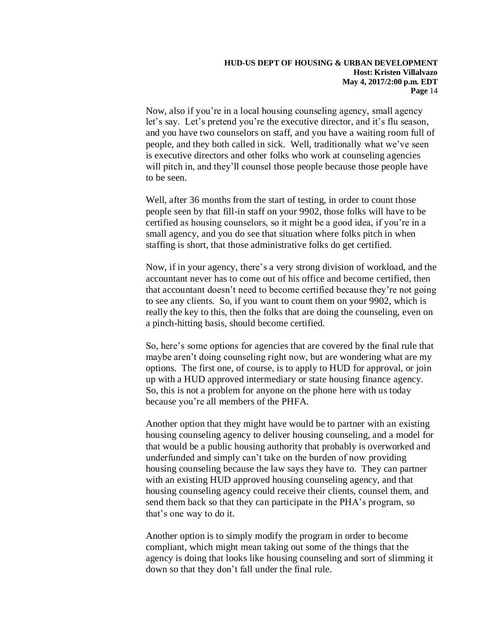Now, also if you're in a local housing counseling agency, small agency let's say. Let's pretend you're the executive director, and it's flu season, and you have two counselors on staff, and you have a waiting room full of people, and they both called in sick. Well, traditionally what we've seen is executive directors and other folks who work at counseling agencies will pitch in, and they'll counsel those people because those people have to be seen.

Well, after 36 months from the start of testing, in order to count those people seen by that fill-in staff on your 9902, those folks will have to be certified as housing counselors, so it might be a good idea, if you're in a small agency, and you do see that situation where folks pitch in when staffing is short, that those administrative folks do get certified.

Now, if in your agency, there's a very strong division of workload, and the accountant never has to come out of his office and become certified, then that accountant doesn't need to become certified because they're not going to see any clients. So, if you want to count them on your 9902, which is really the key to this, then the folks that are doing the counseling, even on a pinch-hitting basis, should become certified.

So, here's some options for agencies that are covered by the final rule that maybe aren't doing counseling right now, but are wondering what are my options. The first one, of course, is to apply to HUD for approval, or join up with a HUD approved intermediary or state housing finance agency. So, this is not a problem for anyone on the phone here with us today because you're all members of the PHFA.

Another option that they might have would be to partner with an existing housing counseling agency to deliver housing counseling, and a model for that would be a public housing authority that probably is overworked and underfunded and simply can't take on the burden of now providing housing counseling because the law says they have to. They can partner with an existing HUD approved housing counseling agency, and that housing counseling agency could receive their clients, counsel them, and send them back so that they can participate in the PHA's program, so that's one way to do it.

Another option is to simply modify the program in order to become compliant, which might mean taking out some of the things that the agency is doing that looks like housing counseling and sort of slimming it down so that they don't fall under the final rule.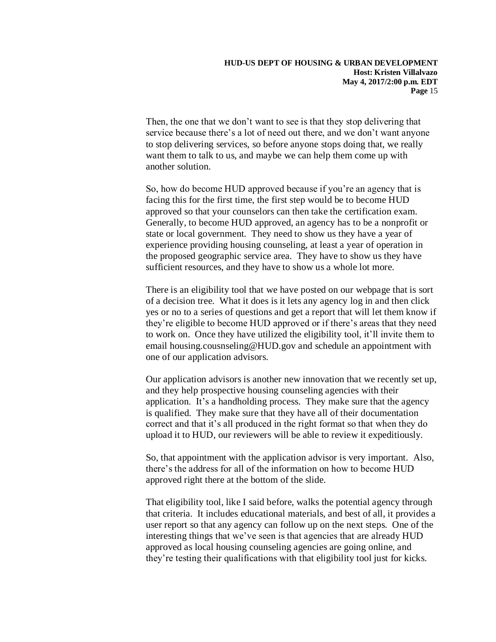Then, the one that we don't want to see is that they stop delivering that service because there's a lot of need out there, and we don't want anyone to stop delivering services, so before anyone stops doing that, we really want them to talk to us, and maybe we can help them come up with another solution.

So, how do become HUD approved because if you're an agency that is facing this for the first time, the first step would be to become HUD approved so that your counselors can then take the certification exam. Generally, to become HUD approved, an agency has to be a nonprofit or state or local government. They need to show us they have a year of experience providing housing counseling, at least a year of operation in the proposed geographic service area. They have to show us they have sufficient resources, and they have to show us a whole lot more.

There is an eligibility tool that we have posted on our webpage that is sort of a decision tree. What it does is it lets any agency log in and then click yes or no to a series of questions and get a report that will let them know if they're eligible to become HUD approved or if there's areas that they need to work on. Once they have utilized the eligibility tool, it'll invite them to email housing.cousnseling@HUD.gov and schedule an appointment with one of our application advisors.

Our application advisors is another new innovation that we recently set up, and they help prospective housing counseling agencies with their application. It's a handholding process. They make sure that the agency is qualified. They make sure that they have all of their documentation correct and that it's all produced in the right format so that when they do upload it to HUD, our reviewers will be able to review it expeditiously.

So, that appointment with the application advisor is very important. Also, there's the address for all of the information on how to become HUD approved right there at the bottom of the slide.

That eligibility tool, like I said before, walks the potential agency through that criteria. It includes educational materials, and best of all, it provides a user report so that any agency can follow up on the next steps. One of the interesting things that we've seen is that agencies that are already HUD approved as local housing counseling agencies are going online, and they're testing their qualifications with that eligibility tool just for kicks.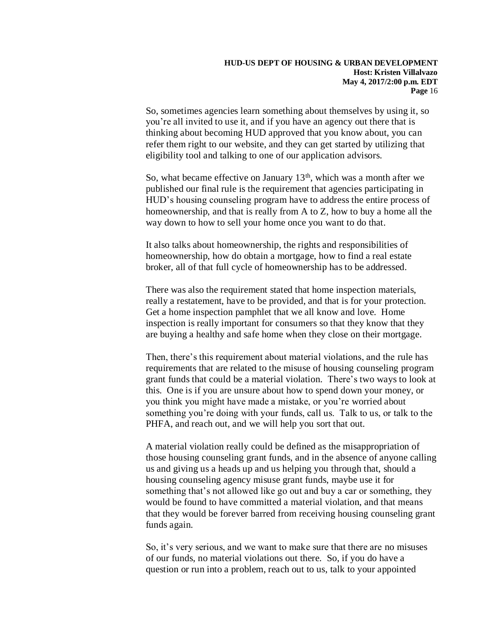So, sometimes agencies learn something about themselves by using it, so you're all invited to use it, and if you have an agency out there that is thinking about becoming HUD approved that you know about, you can refer them right to our website, and they can get started by utilizing that eligibility tool and talking to one of our application advisors.

So, what became effective on January  $13<sup>th</sup>$ , which was a month after we published our final rule is the requirement that agencies participating in HUD's housing counseling program have to address the entire process of homeownership, and that is really from A to Z, how to buy a home all the way down to how to sell your home once you want to do that.

It also talks about homeownership, the rights and responsibilities of homeownership, how do obtain a mortgage, how to find a real estate broker, all of that full cycle of homeownership has to be addressed.

There was also the requirement stated that home inspection materials, really a restatement, have to be provided, and that is for your protection. Get a home inspection pamphlet that we all know and love. Home inspection is really important for consumers so that they know that they are buying a healthy and safe home when they close on their mortgage.

Then, there's this requirement about material violations, and the rule has requirements that are related to the misuse of housing counseling program grant funds that could be a material violation. There's two ways to look at this. One is if you are unsure about how to spend down your money, or you think you might have made a mistake, or you're worried about something you're doing with your funds, call us. Talk to us, or talk to the PHFA, and reach out, and we will help you sort that out.

A material violation really could be defined as the misappropriation of those housing counseling grant funds, and in the absence of anyone calling us and giving us a heads up and us helping you through that, should a housing counseling agency misuse grant funds, maybe use it for something that's not allowed like go out and buy a car or something, they would be found to have committed a material violation, and that means that they would be forever barred from receiving housing counseling grant funds again.

So, it's very serious, and we want to make sure that there are no misuses of our funds, no material violations out there. So, if you do have a question or run into a problem, reach out to us, talk to your appointed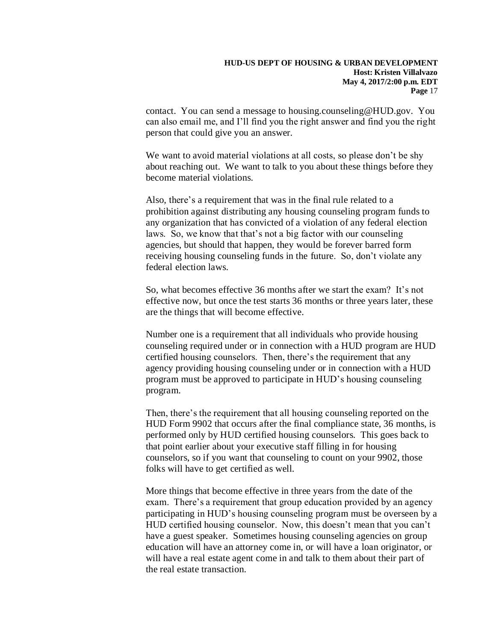contact. You can send a message to housing.counseling@HUD.gov. You can also email me, and I'll find you the right answer and find you the right person that could give you an answer.

We want to avoid material violations at all costs, so please don't be shy about reaching out. We want to talk to you about these things before they become material violations.

Also, there's a requirement that was in the final rule related to a prohibition against distributing any housing counseling program funds to any organization that has convicted of a violation of any federal election laws. So, we know that that's not a big factor with our counseling agencies, but should that happen, they would be forever barred form receiving housing counseling funds in the future. So, don't violate any federal election laws.

So, what becomes effective 36 months after we start the exam? It's not effective now, but once the test starts 36 months or three years later, these are the things that will become effective.

Number one is a requirement that all individuals who provide housing counseling required under or in connection with a HUD program are HUD certified housing counselors. Then, there's the requirement that any agency providing housing counseling under or in connection with a HUD program must be approved to participate in HUD's housing counseling program.

Then, there's the requirement that all housing counseling reported on the HUD Form 9902 that occurs after the final compliance state, 36 months, is performed only by HUD certified housing counselors. This goes back to that point earlier about your executive staff filling in for housing counselors, so if you want that counseling to count on your 9902, those folks will have to get certified as well.

More things that become effective in three years from the date of the exam. There's a requirement that group education provided by an agency participating in HUD's housing counseling program must be overseen by a HUD certified housing counselor. Now, this doesn't mean that you can't have a guest speaker. Sometimes housing counseling agencies on group education will have an attorney come in, or will have a loan originator, or will have a real estate agent come in and talk to them about their part of the real estate transaction.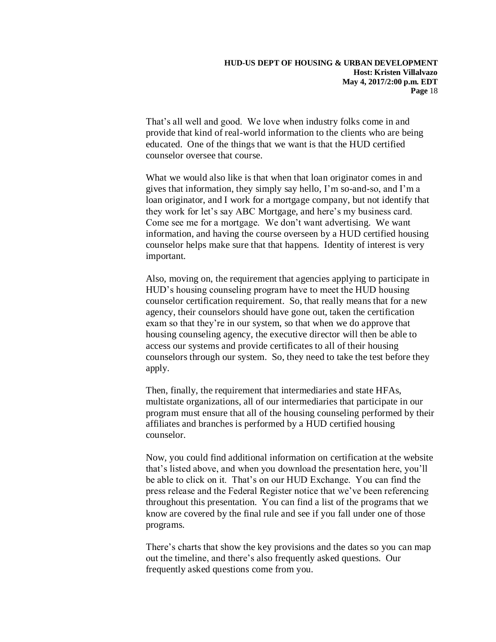That's all well and good. We love when industry folks come in and provide that kind of real-world information to the clients who are being educated. One of the things that we want is that the HUD certified counselor oversee that course.

What we would also like is that when that loan originator comes in and gives that information, they simply say hello, I'm so-and-so, and I'm a loan originator, and I work for a mortgage company, but not identify that they work for let's say ABC Mortgage, and here's my business card. Come see me for a mortgage. We don't want advertising. We want information, and having the course overseen by a HUD certified housing counselor helps make sure that that happens. Identity of interest is very important.

Also, moving on, the requirement that agencies applying to participate in HUD's housing counseling program have to meet the HUD housing counselor certification requirement. So, that really means that for a new agency, their counselors should have gone out, taken the certification exam so that they're in our system, so that when we do approve that housing counseling agency, the executive director will then be able to access our systems and provide certificates to all of their housing counselors through our system. So, they need to take the test before they apply.

Then, finally, the requirement that intermediaries and state HFAs, multistate organizations, all of our intermediaries that participate in our program must ensure that all of the housing counseling performed by their affiliates and branches is performed by a HUD certified housing counselor.

Now, you could find additional information on certification at the website that's listed above, and when you download the presentation here, you'll be able to click on it. That's on our HUD Exchange. You can find the press release and the Federal Register notice that we've been referencing throughout this presentation. You can find a list of the programs that we know are covered by the final rule and see if you fall under one of those programs.

There's charts that show the key provisions and the dates so you can map out the timeline, and there's also frequently asked questions. Our frequently asked questions come from you.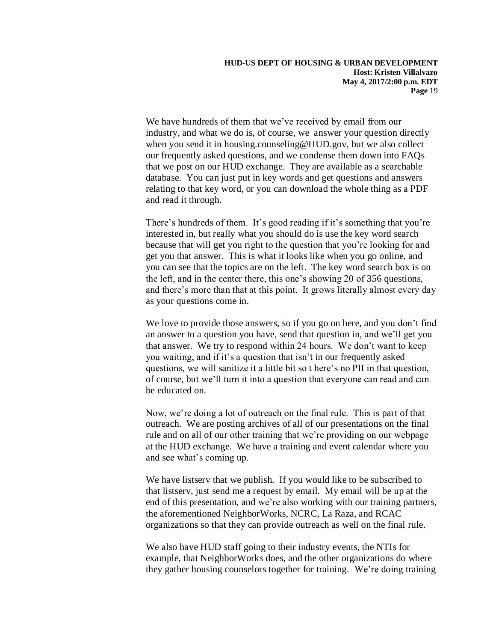We have hundreds of them that we've received by email from our industry, and what we do is, of course, we answer your question directly when you send it in housing.counseling@HUD.gov, but we also collect our frequently asked questions, and we condense them down into FAQs that we post on our HUD exchange. They are available as a searchable database. You can just put in key words and get questions and answers relating to that key word, or you can download the whole thing as a PDF and read it through.

There's hundreds of them. It's good reading if it's something that you're interested in, but really what you should do is use the key word search because that will get you right to the question that you're looking for and get you that answer. This is what it looks like when you go online, and you can see that the topics are on the left. The key word search box is on the left, and in the center there, this one's showing 20 of 356 questions, and there's more than that at this point. It grows literally almost every day as your questions come in.

We love to provide those answers, so if you go on here, and you don't find an answer to a question you have, send that question in, and we'll get you that answer. We try to respond within 24 hours. We don't want to keep you waiting, and if it's a question that isn't in our frequently asked questions, we will sanitize it a little bit so t here's no PII in that question, of course, but we'll turn it into a question that everyone can read and can be educated on.

Now, we're doing a lot of outreach on the final rule. This is part of that outreach. We are posting archives of all of our presentations on the final rule and on all of our other training that we're providing on our webpage at the HUD exchange. We have a training and event calendar where you and see what's coming up.

We have listserv that we publish. If you would like to be subscribed to that listserv, just send me a request by email. My email will be up at the end of this presentation, and we're also working with our training partners, the aforementioned NeighborWorks, NCRC, La Raza, and RCAC organizations so that they can provide outreach as well on the final rule.

We also have HUD staff going to their industry events, the NTIs for example, that NeighborWorks does, and the other organizations do where they gather housing counselors together for training. We're doing training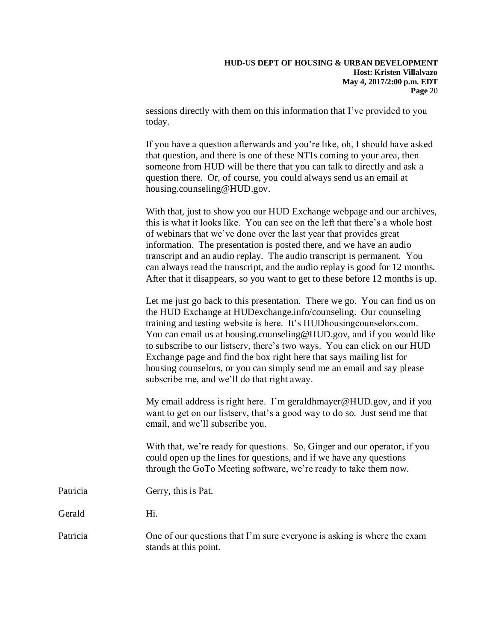sessions directly with them on this information that I've provided to you today.

If you have a question afterwards and you're like, oh, I should have asked that question, and there is one of these NTIs coming to your area, then someone from HUD will be there that you can talk to directly and ask a question there. Or, of course, you could always send us an email at housing.counseling@HUD.gov.

With that, just to show you our HUD Exchange webpage and our archives, this is what it looks like. You can see on the left that there's a whole host of webinars that we've done over the last year that provides great information. The presentation is posted there, and we have an audio transcript and an audio replay. The audio transcript is permanent. You can always read the transcript, and the audio replay is good for 12 months. After that it disappears, so you want to get to these before 12 months is up.

Let me just go back to this presentation. There we go. You can find us on the HUD Exchange at HUDexchange.info/counseling. Our counseling training and testing website is here. It's HUDhousingcounselors.com. You can email us at housing.counseling@HUD.gov, and if you would like to subscribe to our listserv, there's two ways. You can click on our HUD Exchange page and find the box right here that says mailing list for housing counselors, or you can simply send me an email and say please subscribe me, and we'll do that right away.

My email address is right here. I'm geraldhmayer@HUD.gov, and if you want to get on our listserv, that's a good way to do so. Just send me that email, and we'll subscribe you.

With that, we're ready for questions. So, Ginger and our operator, if you could open up the lines for questions, and if we have any questions through the GoTo Meeting software, we're ready to take them now.

Patricia Gerry, this is Pat.

Gerald Hi.

## Patricia One of our questions that I'm sure everyone is asking is where the exam stands at this point.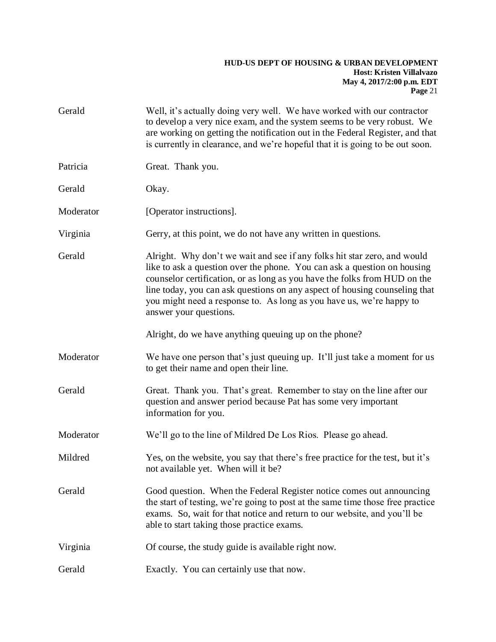| Gerald    | Well, it's actually doing very well. We have worked with our contractor<br>to develop a very nice exam, and the system seems to be very robust. We<br>are working on getting the notification out in the Federal Register, and that<br>is currently in clearance, and we're hopeful that it is going to be out soon.                                                                                              |
|-----------|-------------------------------------------------------------------------------------------------------------------------------------------------------------------------------------------------------------------------------------------------------------------------------------------------------------------------------------------------------------------------------------------------------------------|
| Patricia  | Great. Thank you.                                                                                                                                                                                                                                                                                                                                                                                                 |
| Gerald    | Okay.                                                                                                                                                                                                                                                                                                                                                                                                             |
| Moderator | [Operator instructions].                                                                                                                                                                                                                                                                                                                                                                                          |
| Virginia  | Gerry, at this point, we do not have any written in questions.                                                                                                                                                                                                                                                                                                                                                    |
| Gerald    | Alright. Why don't we wait and see if any folks hit star zero, and would<br>like to ask a question over the phone. You can ask a question on housing<br>counselor certification, or as long as you have the folks from HUD on the<br>line today, you can ask questions on any aspect of housing counseling that<br>you might need a response to. As long as you have us, we're happy to<br>answer your questions. |
|           | Alright, do we have anything queuing up on the phone?                                                                                                                                                                                                                                                                                                                                                             |
| Moderator | We have one person that's just queuing up. It'll just take a moment for us<br>to get their name and open their line.                                                                                                                                                                                                                                                                                              |
| Gerald    | Great. Thank you. That's great. Remember to stay on the line after our<br>question and answer period because Pat has some very important<br>information for you.                                                                                                                                                                                                                                                  |
| Moderator | We'll go to the line of Mildred De Los Rios. Please go ahead.                                                                                                                                                                                                                                                                                                                                                     |
| Mildred   | Yes, on the website, you say that there's free practice for the test, but it's<br>not available yet. When will it be?                                                                                                                                                                                                                                                                                             |
| Gerald    | Good question. When the Federal Register notice comes out announcing<br>the start of testing, we're going to post at the same time those free practice<br>exams. So, wait for that notice and return to our website, and you'll be<br>able to start taking those practice exams.                                                                                                                                  |
| Virginia  | Of course, the study guide is available right now.                                                                                                                                                                                                                                                                                                                                                                |
| Gerald    | Exactly. You can certainly use that now.                                                                                                                                                                                                                                                                                                                                                                          |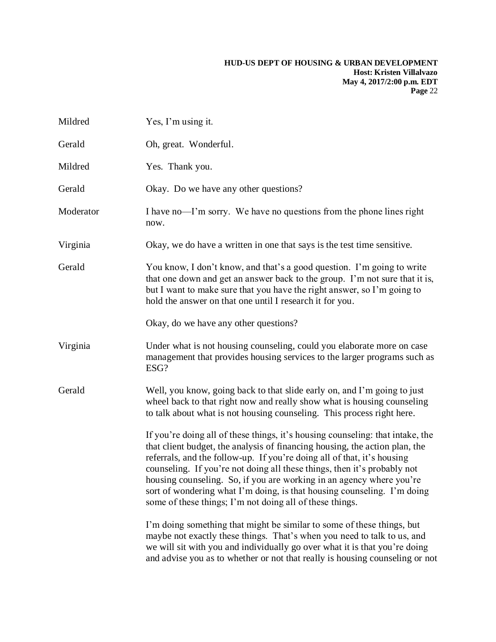| Mildred   | Yes, I'm using it.                                                                                                                                                                                                                                                                                                                                                                                                                                                                                                                  |
|-----------|-------------------------------------------------------------------------------------------------------------------------------------------------------------------------------------------------------------------------------------------------------------------------------------------------------------------------------------------------------------------------------------------------------------------------------------------------------------------------------------------------------------------------------------|
| Gerald    | Oh, great. Wonderful.                                                                                                                                                                                                                                                                                                                                                                                                                                                                                                               |
| Mildred   | Yes. Thank you.                                                                                                                                                                                                                                                                                                                                                                                                                                                                                                                     |
| Gerald    | Okay. Do we have any other questions?                                                                                                                                                                                                                                                                                                                                                                                                                                                                                               |
| Moderator | I have no—I'm sorry. We have no questions from the phone lines right<br>now.                                                                                                                                                                                                                                                                                                                                                                                                                                                        |
| Virginia  | Okay, we do have a written in one that says is the test time sensitive.                                                                                                                                                                                                                                                                                                                                                                                                                                                             |
| Gerald    | You know, I don't know, and that's a good question. I'm going to write<br>that one down and get an answer back to the group. I'm not sure that it is,<br>but I want to make sure that you have the right answer, so I'm going to<br>hold the answer on that one until I research it for you.                                                                                                                                                                                                                                        |
|           | Okay, do we have any other questions?                                                                                                                                                                                                                                                                                                                                                                                                                                                                                               |
| Virginia  | Under what is not housing counseling, could you elaborate more on case<br>management that provides housing services to the larger programs such as<br>ESG?                                                                                                                                                                                                                                                                                                                                                                          |
| Gerald    | Well, you know, going back to that slide early on, and I'm going to just<br>wheel back to that right now and really show what is housing counseling<br>to talk about what is not housing counseling. This process right here.                                                                                                                                                                                                                                                                                                       |
|           | If you're doing all of these things, it's housing counseling: that intake, the<br>that client budget, the analysis of financing housing, the action plan, the<br>referrals, and the follow-up. If you're doing all of that, it's housing<br>counseling. If you're not doing all these things, then it's probably not<br>housing counseling. So, if you are working in an agency where you're<br>sort of wondering what I'm doing, is that housing counseling. I'm doing<br>some of these things; I'm not doing all of these things. |
|           | I'm doing something that might be similar to some of these things, but<br>maybe not exactly these things. That's when you need to talk to us, and<br>we will sit with you and individually go over what it is that you're doing<br>and advise you as to whether or not that really is housing counseling or not                                                                                                                                                                                                                     |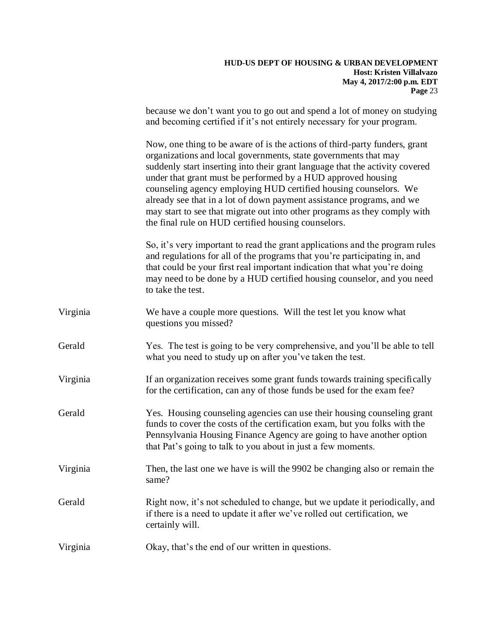# **HUD-US DEPT OF HOUSING & URBAN DEVELOPMENT Host: Kristen Villalvazo May 4, 2017/2:00 p.m. EDT Page** 23 because we don't want you to go out and spend a lot of money on studying and becoming certified if it's not entirely necessary for your program. Now, one thing to be aware of is the actions of third-party funders, grant organizations and local governments, state governments that may suddenly start inserting into their grant language that the activity covered under that grant must be performed by a HUD approved housing counseling agency employing HUD certified housing counselors. We already see that in a lot of down payment assistance programs, and we may start to see that migrate out into other programs as they comply with the final rule on HUD certified housing counselors. So, it's very important to read the grant applications and the program rules and regulations for all of the programs that you're participating in, and that could be your first real important indication that what you're doing may need to be done by a HUD certified housing counselor, and you need to take the test. Virginia We have a couple more questions. Will the test let you know what questions you missed? Gerald Yes. The test is going to be very comprehensive, and you'll be able to tell what you need to study up on after you've taken the test. Virginia If an organization receives some grant funds towards training specifically for the certification, can any of those funds be used for the exam fee? Gerald Yes. Housing counseling agencies can use their housing counseling grant funds to cover the costs of the certification exam, but you folks with the Pennsylvania Housing Finance Agency are going to have another option that Pat's going to talk to you about in just a few moments. Virginia Then, the last one we have is will the 9902 be changing also or remain the same? Gerald Right now, it's not scheduled to change, but we update it periodically, and if there is a need to update it after we've rolled out certification, we certainly will. Virginia Okay, that's the end of our written in questions.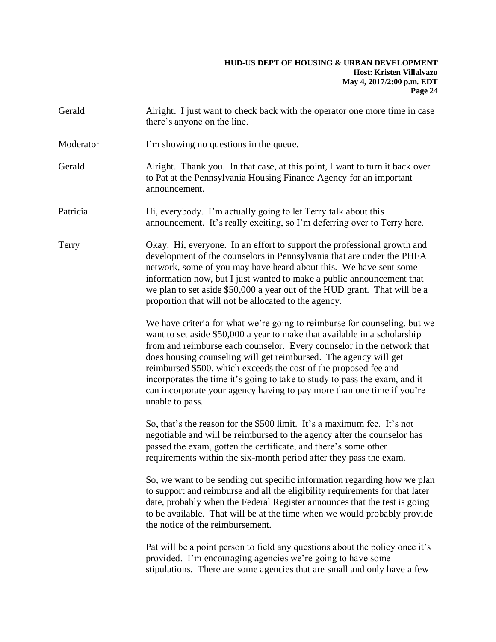| Gerald    | Alright. I just want to check back with the operator one more time in case<br>there's anyone on the line.                                                                                                                                                                                                                                                                                                                                                                                                                                                                                     |
|-----------|-----------------------------------------------------------------------------------------------------------------------------------------------------------------------------------------------------------------------------------------------------------------------------------------------------------------------------------------------------------------------------------------------------------------------------------------------------------------------------------------------------------------------------------------------------------------------------------------------|
| Moderator | I'm showing no questions in the queue.                                                                                                                                                                                                                                                                                                                                                                                                                                                                                                                                                        |
| Gerald    | Alright. Thank you. In that case, at this point, I want to turn it back over<br>to Pat at the Pennsylvania Housing Finance Agency for an important<br>announcement.                                                                                                                                                                                                                                                                                                                                                                                                                           |
| Patricia  | Hi, everybody. I'm actually going to let Terry talk about this<br>announcement. It's really exciting, so I'm deferring over to Terry here.                                                                                                                                                                                                                                                                                                                                                                                                                                                    |
| Terry     | Okay. Hi, everyone. In an effort to support the professional growth and<br>development of the counselors in Pennsylvania that are under the PHFA<br>network, some of you may have heard about this. We have sent some<br>information now, but I just wanted to make a public announcement that<br>we plan to set aside \$50,000 a year out of the HUD grant. That will be a<br>proportion that will not be allocated to the agency.<br>We have criteria for what we're going to reimburse for counseling, but we<br>want to set aside \$50,000 a year to make that available in a scholarship |
|           | from and reimburse each counselor. Every counselor in the network that<br>does housing counseling will get reimbursed. The agency will get<br>reimbursed \$500, which exceeds the cost of the proposed fee and<br>incorporates the time it's going to take to study to pass the exam, and it<br>can incorporate your agency having to pay more than one time if you're<br>unable to pass.                                                                                                                                                                                                     |
|           | So, that's the reason for the \$500 limit. It's a maximum fee. It's not<br>negotiable and will be reimbursed to the agency after the counselor has<br>passed the exam, gotten the certificate, and there's some other<br>requirements within the six-month period after they pass the exam.                                                                                                                                                                                                                                                                                                   |
|           | So, we want to be sending out specific information regarding how we plan<br>to support and reimburse and all the eligibility requirements for that later<br>date, probably when the Federal Register announces that the test is going<br>to be available. That will be at the time when we would probably provide<br>the notice of the reimbursement.                                                                                                                                                                                                                                         |
|           | Pat will be a point person to field any questions about the policy once it's<br>provided. I'm encouraging agencies we're going to have some<br>stipulations. There are some agencies that are small and only have a few                                                                                                                                                                                                                                                                                                                                                                       |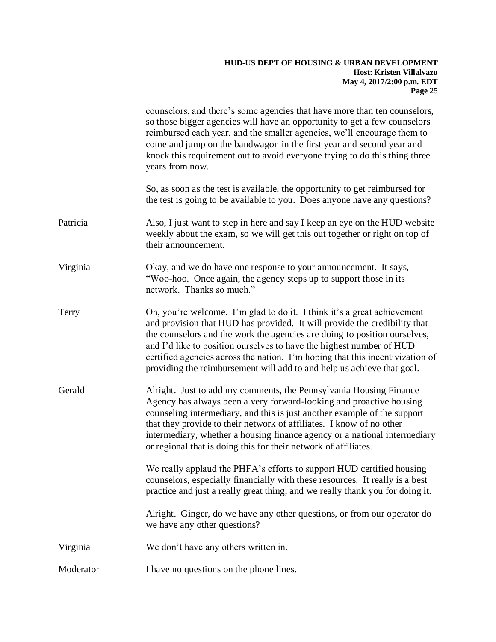|           | counselors, and there's some agencies that have more than ten counselors,<br>so those bigger agencies will have an opportunity to get a few counselors<br>reimbursed each year, and the smaller agencies, we'll encourage them to<br>come and jump on the bandwagon in the first year and second year and<br>knock this requirement out to avoid everyone trying to do this thing three<br>years from now.                                                           |
|-----------|----------------------------------------------------------------------------------------------------------------------------------------------------------------------------------------------------------------------------------------------------------------------------------------------------------------------------------------------------------------------------------------------------------------------------------------------------------------------|
|           | So, as soon as the test is available, the opportunity to get reimbursed for<br>the test is going to be available to you. Does anyone have any questions?                                                                                                                                                                                                                                                                                                             |
| Patricia  | Also, I just want to step in here and say I keep an eye on the HUD website<br>weekly about the exam, so we will get this out together or right on top of<br>their announcement.                                                                                                                                                                                                                                                                                      |
| Virginia  | Okay, and we do have one response to your announcement. It says,<br>"Woo-hoo. Once again, the agency steps up to support those in its<br>network. Thanks so much."                                                                                                                                                                                                                                                                                                   |
| Terry     | Oh, you're welcome. I'm glad to do it. I think it's a great achievement<br>and provision that HUD has provided. It will provide the credibility that<br>the counselors and the work the agencies are doing to position ourselves,<br>and I'd like to position ourselves to have the highest number of HUD<br>certified agencies across the nation. I'm hoping that this incentivization of<br>providing the reimbursement will add to and help us achieve that goal. |
| Gerald    | Alright. Just to add my comments, the Pennsylvania Housing Finance<br>Agency has always been a very forward-looking and proactive housing<br>counseling intermediary, and this is just another example of the support<br>that they provide to their network of affiliates. I know of no other<br>intermediary, whether a housing finance agency or a national intermediary<br>or regional that is doing this for their network of affiliates.                        |
|           | We really applaud the PHFA's efforts to support HUD certified housing<br>counselors, especially financially with these resources. It really is a best<br>practice and just a really great thing, and we really thank you for doing it.                                                                                                                                                                                                                               |
|           | Alright. Ginger, do we have any other questions, or from our operator do<br>we have any other questions?                                                                                                                                                                                                                                                                                                                                                             |
| Virginia  | We don't have any others written in.                                                                                                                                                                                                                                                                                                                                                                                                                                 |
| Moderator | I have no questions on the phone lines.                                                                                                                                                                                                                                                                                                                                                                                                                              |